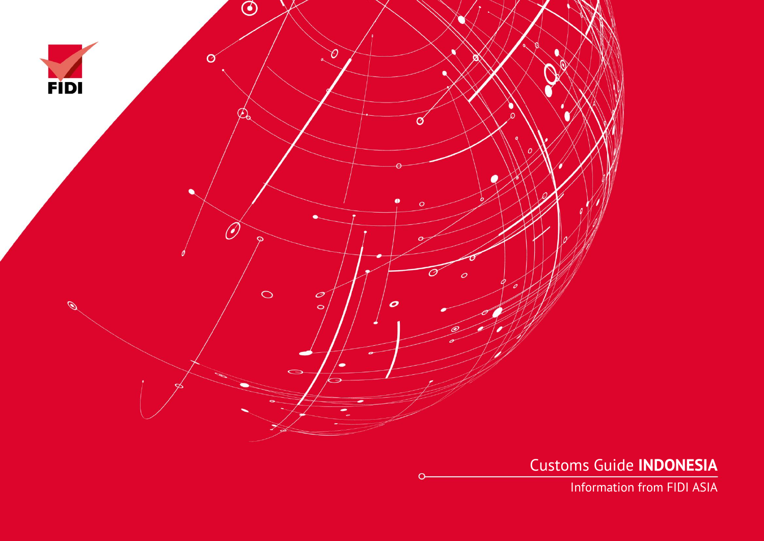

Customs Guide **INDONESIA**

Information from FIDI ASIA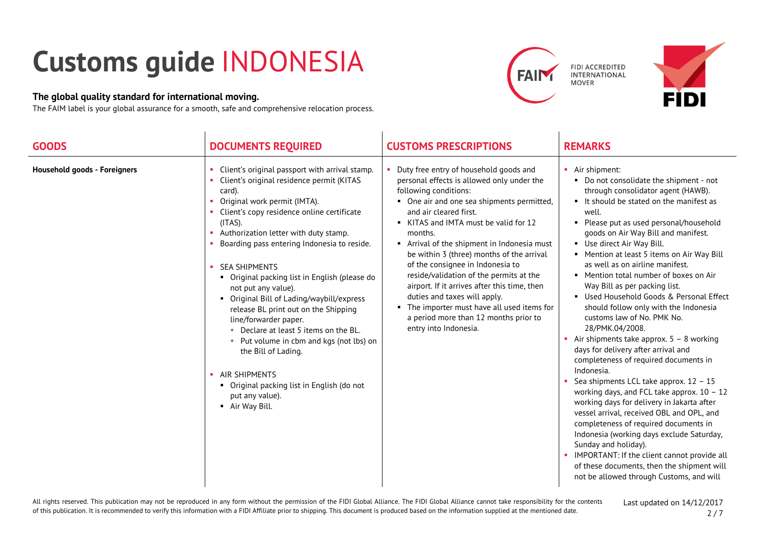## **Customs guide** INDONESIA

## **The global quality standard for international moving.**

The FAIM label is your global assurance for a smooth, safe and comprehensive relocation process.





| <b>GOODS</b>                        | <b>DOCUMENTS REQUIRED</b>                                                                                                                                                                                                                                                                                                                                                                                                                                                                                                                                                                                                                                                                                              | <b>CUSTOMS PRESCRIPTIONS</b>                                                                                                                                                                                                                                                                                                                                                                                                                                                                                                                                                                                      | <b>REMARKS</b>                                                                                                                                                                                                                                                                                                                                                                                                                                                                                                                                                                                                                                                                                                                                                                                                                                                                                                                                                                                                                                                                                                                                              |
|-------------------------------------|------------------------------------------------------------------------------------------------------------------------------------------------------------------------------------------------------------------------------------------------------------------------------------------------------------------------------------------------------------------------------------------------------------------------------------------------------------------------------------------------------------------------------------------------------------------------------------------------------------------------------------------------------------------------------------------------------------------------|-------------------------------------------------------------------------------------------------------------------------------------------------------------------------------------------------------------------------------------------------------------------------------------------------------------------------------------------------------------------------------------------------------------------------------------------------------------------------------------------------------------------------------------------------------------------------------------------------------------------|-------------------------------------------------------------------------------------------------------------------------------------------------------------------------------------------------------------------------------------------------------------------------------------------------------------------------------------------------------------------------------------------------------------------------------------------------------------------------------------------------------------------------------------------------------------------------------------------------------------------------------------------------------------------------------------------------------------------------------------------------------------------------------------------------------------------------------------------------------------------------------------------------------------------------------------------------------------------------------------------------------------------------------------------------------------------------------------------------------------------------------------------------------------|
| <b>Household goods - Foreigners</b> | Client's original passport with arrival stamp.<br>Client's original residence permit (KITAS<br>card).<br>Original work permit (IMTA).<br>Client's copy residence online certificate<br>$(ITAS)$ .<br>Authorization letter with duty stamp.<br>Boarding pass entering Indonesia to reside.<br><b>SEA SHIPMENTS</b><br>• Original packing list in English (please do<br>not put any value).<br>• Original Bill of Lading/waybill/express<br>release BL print out on the Shipping<br>line/forwarder paper.<br>Declare at least 5 items on the BL.<br>■ Put volume in cbm and kgs (not lbs) on<br>the Bill of Lading.<br>AIR SHIPMENTS<br>• Original packing list in English (do not<br>put any value).<br>• Air Way Bill. | Duty free entry of household goods and<br>personal effects is allowed only under the<br>following conditions:<br>• One air and one sea shipments permitted,<br>and air cleared first.<br>KITAS and IMTA must be valid for 12<br>months.<br>Arrival of the shipment in Indonesia must<br>be within 3 (three) months of the arrival<br>of the consignee in Indonesia to<br>reside/validation of the permits at the<br>airport. If it arrives after this time, then<br>duties and taxes will apply.<br>• The importer must have all used items for<br>a period more than 12 months prior to<br>entry into Indonesia. | • Air shipment:<br>• Do not consolidate the shipment - not<br>through consolidator agent (HAWB).<br>It should be stated on the manifest as<br>well.<br>• Please put as used personal/household<br>goods on Air Way Bill and manifest.<br>Use direct Air Way Bill.<br>• Mention at least 5 items on Air Way Bill<br>as well as on airline manifest.<br>• Mention total number of boxes on Air<br>Way Bill as per packing list.<br>Used Household Goods & Personal Effect<br>should follow only with the Indonesia<br>customs law of No. PMK No.<br>28/PMK.04/2008.<br>Air shipments take approx. $5 - 8$ working<br>days for delivery after arrival and<br>completeness of required documents in<br>Indonesia.<br>Sea shipments LCL take approx. 12 - 15<br>working days, and FCL take approx. $10 - 12$<br>working days for delivery in Jakarta after<br>vessel arrival, received OBL and OPL, and<br>completeness of required documents in<br>Indonesia (working days exclude Saturday,<br>Sunday and holiday).<br>• IMPORTANT: If the client cannot provide all<br>of these documents, then the shipment will<br>not be allowed through Customs, and will |

All rights reserved. This publication may not be reproduced in any form without the permission of the FIDI Global Alliance. The FIDI Global Alliance cannot take responsibility for the contents of this publication. It is recommended to verify this information with a FIDI Affiliate prior to shipping. This document is produced based on the information supplied at the mentioned date.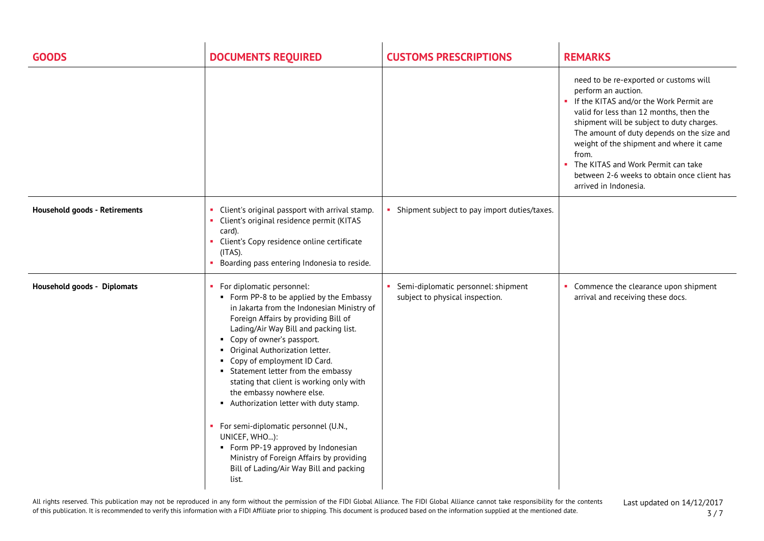| <b>GOODS</b>                         | <b>DOCUMENTS REQUIRED</b>                                                                                                                                                                                                                                                                                                                                                                                                                                                                                                                                                                                                                                           | <b>CUSTOMS PRESCRIPTIONS</b>                                           | <b>REMARKS</b>                                                                                                                                                                                                                                                                                                                                                                                                           |
|--------------------------------------|---------------------------------------------------------------------------------------------------------------------------------------------------------------------------------------------------------------------------------------------------------------------------------------------------------------------------------------------------------------------------------------------------------------------------------------------------------------------------------------------------------------------------------------------------------------------------------------------------------------------------------------------------------------------|------------------------------------------------------------------------|--------------------------------------------------------------------------------------------------------------------------------------------------------------------------------------------------------------------------------------------------------------------------------------------------------------------------------------------------------------------------------------------------------------------------|
|                                      |                                                                                                                                                                                                                                                                                                                                                                                                                                                                                                                                                                                                                                                                     |                                                                        | need to be re-exported or customs will<br>perform an auction.<br>• If the KITAS and/or the Work Permit are<br>valid for less than 12 months, then the<br>shipment will be subject to duty charges.<br>The amount of duty depends on the size and<br>weight of the shipment and where it came<br>from.<br>The KITAS and Work Permit can take<br>×<br>between 2-6 weeks to obtain once client has<br>arrived in Indonesia. |
| <b>Household goods - Retirements</b> | Client's original passport with arrival stamp.<br>$\mathbf{u}$<br>Client's original residence permit (KITAS<br>card).<br>Client's Copy residence online certificate<br>$(ITAS)$ .<br>Boarding pass entering Indonesia to reside.                                                                                                                                                                                                                                                                                                                                                                                                                                    | • Shipment subject to pay import duties/taxes.                         |                                                                                                                                                                                                                                                                                                                                                                                                                          |
| Household goods - Diplomats          | For diplomatic personnel:<br>• Form PP-8 to be applied by the Embassy<br>in Jakarta from the Indonesian Ministry of<br>Foreign Affairs by providing Bill of<br>Lading/Air Way Bill and packing list.<br>• Copy of owner's passport.<br>• Original Authorization letter.<br>• Copy of employment ID Card.<br>• Statement letter from the embassy<br>stating that client is working only with<br>the embassy nowhere else.<br>Authorization letter with duty stamp.<br>• For semi-diplomatic personnel (U.N.,<br>UNICEF, WHO):<br>• Form PP-19 approved by Indonesian<br>Ministry of Foreign Affairs by providing<br>Bill of Lading/Air Way Bill and packing<br>list. | Semi-diplomatic personnel: shipment<br>subject to physical inspection. | Commence the clearance upon shipment<br>arrival and receiving these docs.                                                                                                                                                                                                                                                                                                                                                |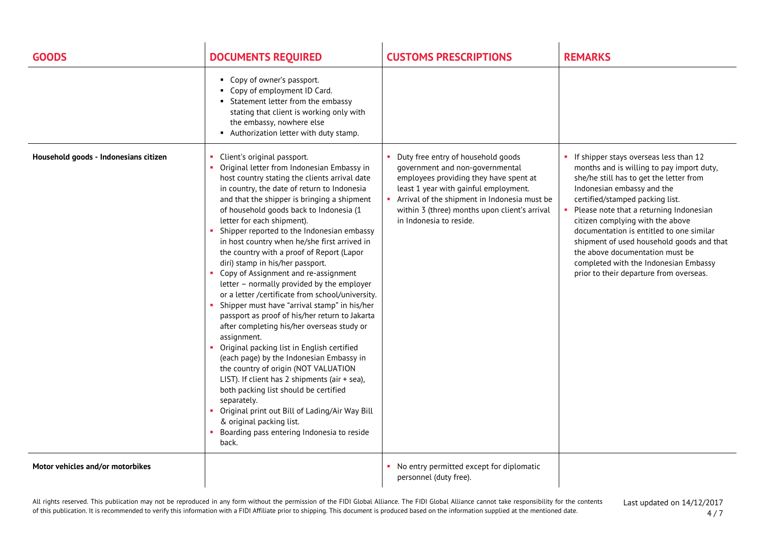| <b>GOODS</b>                          | <b>DOCUMENTS REQUIRED</b>                                                                                                                                                                                                                                                                                                                                                                                                                                                                                                                                                                                                                                                                                                                                                                                                                                                                                                                                                                                                                                                                                                                                                   | <b>CUSTOMS PRESCRIPTIONS</b>                                                                                                                                                                                                                                                           | <b>REMARKS</b>                                                                                                                                                                                                                                                                                                                                                                                                                                                                                 |
|---------------------------------------|-----------------------------------------------------------------------------------------------------------------------------------------------------------------------------------------------------------------------------------------------------------------------------------------------------------------------------------------------------------------------------------------------------------------------------------------------------------------------------------------------------------------------------------------------------------------------------------------------------------------------------------------------------------------------------------------------------------------------------------------------------------------------------------------------------------------------------------------------------------------------------------------------------------------------------------------------------------------------------------------------------------------------------------------------------------------------------------------------------------------------------------------------------------------------------|----------------------------------------------------------------------------------------------------------------------------------------------------------------------------------------------------------------------------------------------------------------------------------------|------------------------------------------------------------------------------------------------------------------------------------------------------------------------------------------------------------------------------------------------------------------------------------------------------------------------------------------------------------------------------------------------------------------------------------------------------------------------------------------------|
|                                       | • Copy of owner's passport.<br>• Copy of employment ID Card.<br>• Statement letter from the embassy<br>stating that client is working only with<br>the embassy, nowhere else<br>Authorization letter with duty stamp.                                                                                                                                                                                                                                                                                                                                                                                                                                                                                                                                                                                                                                                                                                                                                                                                                                                                                                                                                       |                                                                                                                                                                                                                                                                                        |                                                                                                                                                                                                                                                                                                                                                                                                                                                                                                |
| Household goods - Indonesians citizen | Client's original passport.<br>Original letter from Indonesian Embassy in<br>host country stating the clients arrival date<br>in country, the date of return to Indonesia<br>and that the shipper is bringing a shipment<br>of household goods back to Indonesia (1<br>letter for each shipment).<br>Shipper reported to the Indonesian embassy<br>in host country when he/she first arrived in<br>the country with a proof of Report (Lapor<br>diri) stamp in his/her passport.<br>Copy of Assignment and re-assignment<br>letter - normally provided by the employer<br>or a letter /certificate from school/university.<br>Shipper must have "arrival stamp" in his/her<br>passport as proof of his/her return to Jakarta<br>after completing his/her overseas study or<br>assignment.<br>• Original packing list in English certified<br>(each page) by the Indonesian Embassy in<br>the country of origin (NOT VALUATION<br>LIST). If client has 2 shipments (air + sea),<br>both packing list should be certified<br>separately.<br>Original print out Bill of Lading/Air Way Bill<br>& original packing list.<br>Boarding pass entering Indonesia to reside<br>back. | • Duty free entry of household goods<br>government and non-governmental<br>employees providing they have spent at<br>least 1 year with gainful employment.<br>Arrival of the shipment in Indonesia must be<br>within 3 (three) months upon client's arrival<br>in Indonesia to reside. | If shipper stays overseas less than 12<br>months and is willing to pay import duty,<br>she/he still has to get the letter from<br>Indonesian embassy and the<br>certified/stamped packing list.<br>Please note that a returning Indonesian<br>citizen complying with the above<br>documentation is entitled to one similar<br>shipment of used household goods and that<br>the above documentation must be<br>completed with the Indonesian Embassy<br>prior to their departure from overseas. |
| Motor vehicles and/or motorbikes      |                                                                                                                                                                                                                                                                                                                                                                                                                                                                                                                                                                                                                                                                                                                                                                                                                                                                                                                                                                                                                                                                                                                                                                             | • No entry permitted except for diplomatic<br>personnel (duty free).                                                                                                                                                                                                                   |                                                                                                                                                                                                                                                                                                                                                                                                                                                                                                |

All rights reserved. This publication may not be reproduced in any form without the permission of the FIDI Global Alliance. The FIDI Global Alliance cannot take responsibility for the contents of this publication. It is recommended to verify this information with a FIDI Affiliate prior to shipping. This document is produced based on the information supplied at the mentioned date.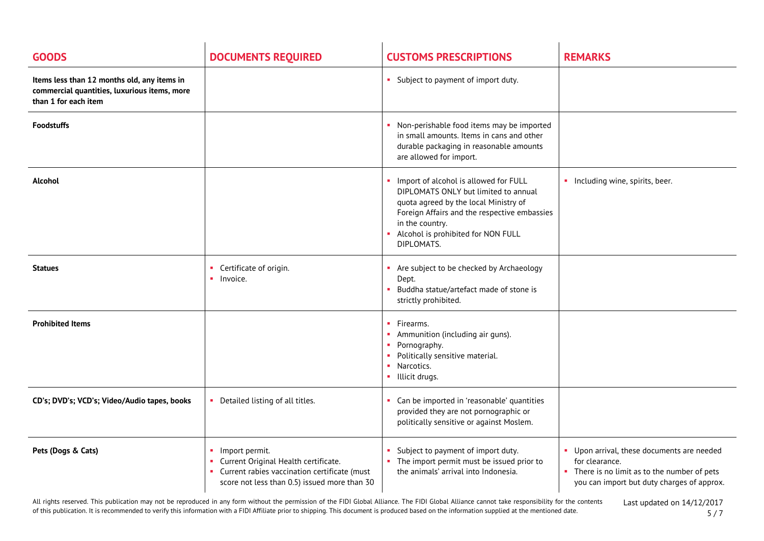| <b>GOODS</b>                                                                                                        | <b>DOCUMENTS REQUIRED</b>                                                                                                                                    | <b>CUSTOMS PRESCRIPTIONS</b>                                                                                                                                                                                                                  | <b>REMARKS</b>                                                                                                                                             |
|---------------------------------------------------------------------------------------------------------------------|--------------------------------------------------------------------------------------------------------------------------------------------------------------|-----------------------------------------------------------------------------------------------------------------------------------------------------------------------------------------------------------------------------------------------|------------------------------------------------------------------------------------------------------------------------------------------------------------|
| Items less than 12 months old, any items in<br>commercial quantities, luxurious items, more<br>than 1 for each item |                                                                                                                                                              | • Subject to payment of import duty.                                                                                                                                                                                                          |                                                                                                                                                            |
| <b>Foodstuffs</b>                                                                                                   |                                                                                                                                                              | Non-perishable food items may be imported<br>in small amounts. Items in cans and other<br>durable packaging in reasonable amounts<br>are allowed for import.                                                                                  |                                                                                                                                                            |
| Alcohol                                                                                                             |                                                                                                                                                              | Import of alcohol is allowed for FULL<br>DIPLOMATS ONLY but limited to annual<br>quota agreed by the local Ministry of<br>Foreign Affairs and the respective embassies<br>in the country.<br>Alcohol is prohibited for NON FULL<br>DIPLOMATS. | • Including wine, spirits, beer.                                                                                                                           |
| <b>Statues</b>                                                                                                      | Certificate of origin.<br>$\blacksquare$ Invoice.                                                                                                            | Are subject to be checked by Archaeology<br>Dept.<br>Buddha statue/artefact made of stone is<br>strictly prohibited.                                                                                                                          |                                                                                                                                                            |
| <b>Prohibited Items</b>                                                                                             |                                                                                                                                                              | $\blacksquare$ Firearms.<br>• Ammunition (including air guns).<br>• Pornography.<br>Politically sensitive material.<br>• Narcotics.<br>• Illicit drugs.                                                                                       |                                                                                                                                                            |
| CD's; DVD's; VCD's; Video/Audio tapes, books                                                                        | • Detailed listing of all titles.                                                                                                                            | Can be imported in 'reasonable' quantities<br>provided they are not pornographic or<br>politically sensitive or against Moslem.                                                                                                               |                                                                                                                                                            |
| Pets (Dogs & Cats)                                                                                                  | • Import permit.<br>• Current Original Health certificate.<br>• Current rabies vaccination certificate (must<br>score not less than 0.5) issued more than 30 | Subject to payment of import duty.<br>• The import permit must be issued prior to<br>the animals' arrival into Indonesia.                                                                                                                     | • Upon arrival, these documents are needed<br>for clearance.<br>• There is no limit as to the number of pets<br>you can import but duty charges of approx. |

All rights reserved. This publication may not be reproduced in any form without the permission of the FIDI Global Alliance. The FIDI Global Alliance cannot take responsibility for the contents of this publication. It is recommended to verify this information with a FIDI Affiliate prior to shipping. This document is produced based on the information supplied at the mentioned date.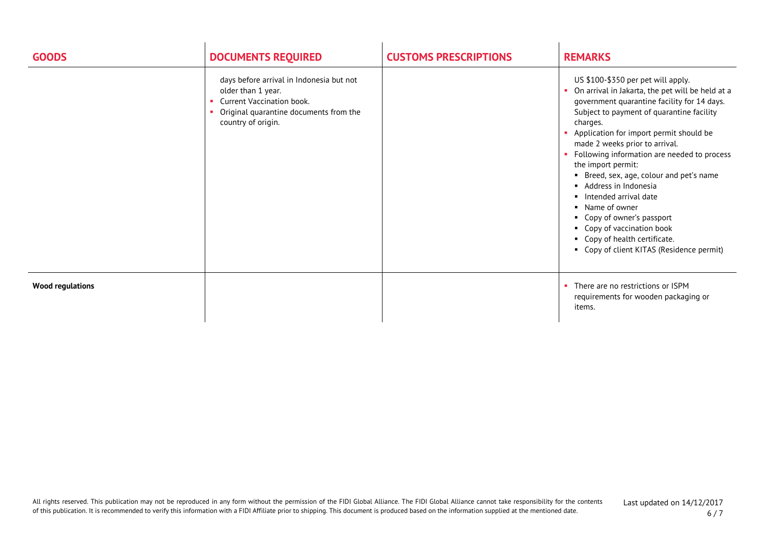| <b>GOODS</b>            | <b>DOCUMENTS REQUIRED</b>                                                                                                                                   | <b>CUSTOMS PRESCRIPTIONS</b> | <b>REMARKS</b>                                                                                                                                                                                                                                                                                                                                                                                                                                                                                                                                                                                                 |
|-------------------------|-------------------------------------------------------------------------------------------------------------------------------------------------------------|------------------------------|----------------------------------------------------------------------------------------------------------------------------------------------------------------------------------------------------------------------------------------------------------------------------------------------------------------------------------------------------------------------------------------------------------------------------------------------------------------------------------------------------------------------------------------------------------------------------------------------------------------|
|                         | days before arrival in Indonesia but not<br>older than 1 year.<br>Current Vaccination book.<br>Original quarantine documents from the<br>country of origin. |                              | US \$100-\$350 per pet will apply.<br>On arrival in Jakarta, the pet will be held at a<br>government quarantine facility for 14 days.<br>Subject to payment of quarantine facility<br>charges.<br>Application for import permit should be<br>made 2 weeks prior to arrival.<br>• Following information are needed to process<br>the import permit:<br>• Breed, sex, age, colour and pet's name<br>• Address in Indonesia<br>Intended arrival date<br>• Name of owner<br>• Copy of owner's passport<br>• Copy of vaccination book<br>• Copy of health certificate.<br>• Copy of client KITAS (Residence permit) |
| <b>Wood regulations</b> |                                                                                                                                                             |                              | • There are no restrictions or ISPM<br>requirements for wooden packaging or<br>items.                                                                                                                                                                                                                                                                                                                                                                                                                                                                                                                          |